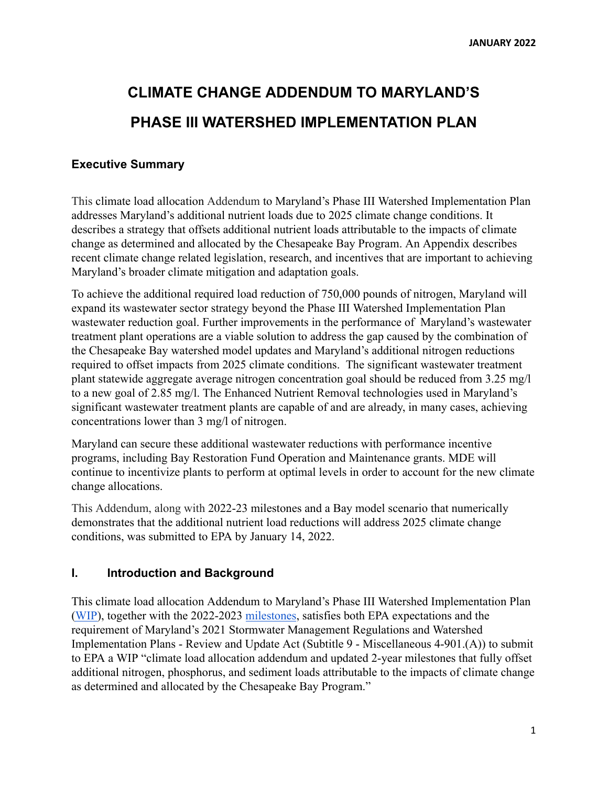# **CLIMATE CHANGE ADDENDUM TO MARYLAND'S PHASE III WATERSHED IMPLEMENTATION PLAN**

# **Executive Summary**

This climate load allocation Addendum to Maryland's Phase III Watershed Implementation Plan addresses Maryland's additional nutrient loads due to 2025 climate change conditions. It describes a strategy that offsets additional nutrient loads attributable to the impacts of climate change as determined and allocated by the Chesapeake Bay Program. An Appendix describes recent climate change related legislation, research, and incentives that are important to achieving Maryland's broader climate mitigation and adaptation goals.

To achieve the additional required load reduction of 750,000 pounds of nitrogen, Maryland will expand its wastewater sector strategy beyond the Phase III Watershed Implementation Plan wastewater reduction goal. Further improvements in the performance of Maryland's wastewater treatment plant operations are a viable solution to address the gap caused by the combination of the Chesapeake Bay watershed model updates and Maryland's additional nitrogen reductions required to offset impacts from 2025 climate conditions. The significant wastewater treatment plant statewide aggregate average nitrogen concentration goal should be reduced from 3.25 mg/l to a new goal of 2.85 mg/l. The Enhanced Nutrient Removal technologies used in Maryland's significant wastewater treatment plants are capable of and are already, in many cases, achieving concentrations lower than 3 mg/l of nitrogen.

Maryland can secure these additional wastewater reductions with performance incentive programs, including Bay Restoration Fund Operation and Maintenance grants. MDE will continue to incentivize plants to perform at optimal levels in order to account for the new climate change allocations.

This Addendum, along with 2022-23 milestones and a Bay model scenario that numerically demonstrates that the additional nutrient load reductions will address 2025 climate change conditions, was submitted to EPA by January 14, 2022.

## **I. Introduction and Background**

This climate load allocation Addendum to Maryland's Phase III Watershed Implementation Plan ([WIP\)](https://mde.maryland.gov/programs/Water/TMDL/TMDLImplementation/Pages/Phase3WIP.aspx), together with the 2022-2023 [milestones](https://mde.maryland.gov/programs/water/TMDL/TMDLImplementation/Pages/milestones.aspx), satisfies both EPA expectations and the requirement of Maryland's 2021 Stormwater Management Regulations and Watershed Implementation Plans - Review and Update Act (Subtitle 9 - Miscellaneous 4-901.(A)) to submit to EPA a WIP "climate load allocation addendum and updated 2-year milestones that fully offset additional nitrogen, phosphorus, and sediment loads attributable to the impacts of climate change as determined and allocated by the Chesapeake Bay Program."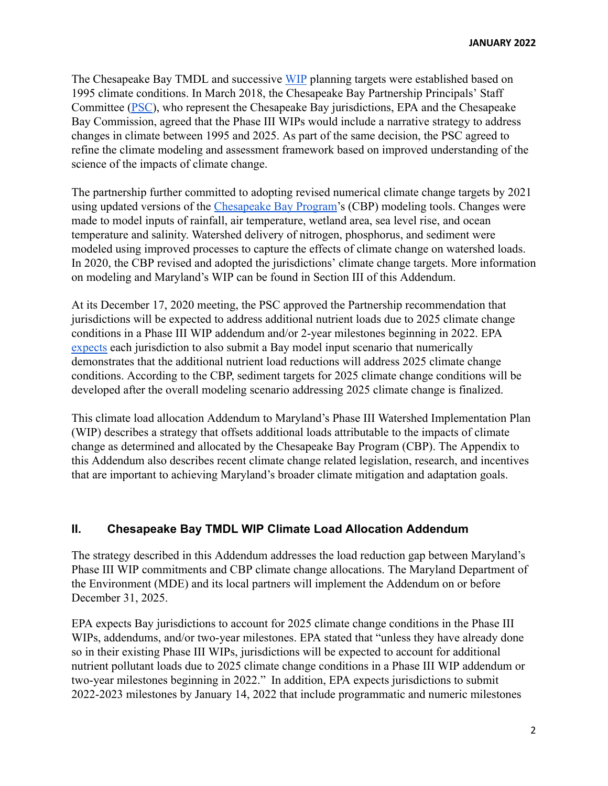The Chesapeake Bay TMDL and successive [WIP](https://www.epa.gov/chesapeake-bay-tmdl/chesapeake-bay-watershed-implementation-plans-wips) planning targets were established based on 1995 climate conditions. In March 2018, the Chesapeake Bay Partnership Principals' Staff Committee [\(PSC\)](https://www.chesapeakebay.net/who/group/principals_staff_committee), who represent the Chesapeake Bay jurisdictions, EPA and the Chesapeake Bay Commission, agreed that the Phase III WIPs would include a narrative strategy to address changes in climate between 1995 and 2025. As part of the same decision, the PSC agreed to refine the climate modeling and assessment framework based on improved understanding of the science of the impacts of climate change.

The partnership further committed to adopting revised numerical climate change targets by 2021 using updated versions of the [Chesapeake Bay Program'](https://www.chesapeakebay.net/who/partners)s (CBP) modeling tools. Changes were made to model inputs of rainfall, air temperature, wetland area, sea level rise, and ocean temperature and salinity. Watershed delivery of nitrogen, phosphorus, and sediment were modeled using improved processes to capture the effects of climate change on watershed loads. In 2020, the CBP revised and adopted the jurisdictions' climate change targets. More information on modeling and Maryland's WIP can be found in Section III of this Addendum.

At its December 17, 2020 meeting, the PSC approved the Partnership recommendation that jurisdictions will be expected to address additional nutrient loads due to 2025 climate change conditions in a Phase III WIP addendum and/or 2-year milestones beginning in 2022. EPA [expects](https://www.chesapeakebay.net/channel_files/42025/accounting_for_climate_change_wips-milestones_v5.14.2021_.pdf) each jurisdiction to also submit a Bay model input scenario that numerically demonstrates that the additional nutrient load reductions will address 2025 climate change conditions. According to the CBP, sediment targets for 2025 climate change conditions will be developed after the overall modeling scenario addressing 2025 climate change is finalized.

This climate load allocation Addendum to Maryland's Phase III Watershed Implementation Plan (WIP) describes a strategy that offsets additional loads attributable to the impacts of climate change as determined and allocated by the Chesapeake Bay Program (CBP). The Appendix to this Addendum also describes recent climate change related legislation, research, and incentives that are important to achieving Maryland's broader climate mitigation and adaptation goals.

# **II. Chesapeake Bay TMDL WIP Climate Load Allocation Addendum**

The strategy described in this Addendum addresses the load reduction gap between Maryland's Phase III WIP commitments and CBP climate change allocations. The Maryland Department of the Environment (MDE) and its local partners will implement the Addendum on or before December 31, 2025.

EPA expects Bay jurisdictions to account for 2025 climate change conditions in the Phase III WIPs, addendums, and/or two-year milestones. EPA stated that "unless they have already done so in their existing Phase III WIPs, jurisdictions will be expected to account for additional nutrient pollutant loads due to 2025 climate change conditions in a Phase III WIP addendum or two-year milestones beginning in 2022." In addition, EPA expects jurisdictions to submit 2022-2023 milestones by January 14, 2022 that include programmatic and numeric milestones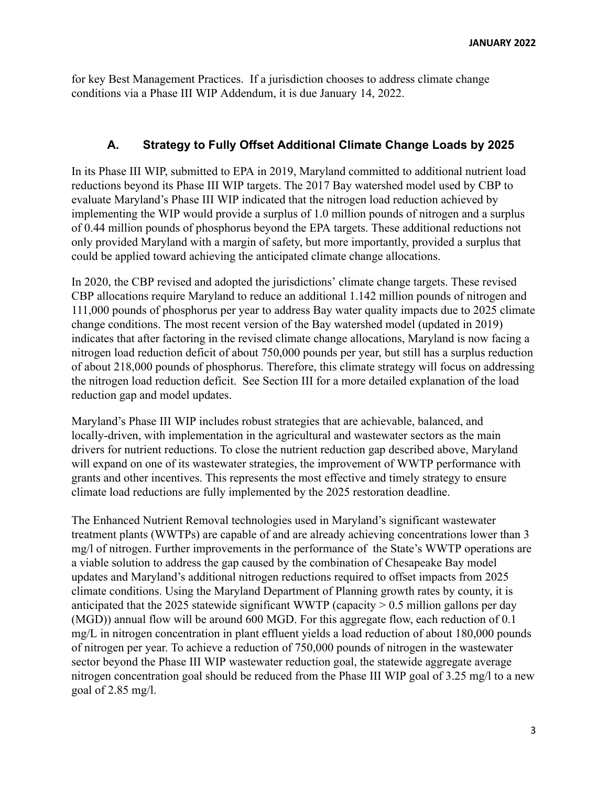for key Best Management Practices. If a jurisdiction chooses to address climate change conditions via a Phase III WIP Addendum, it is due January 14, 2022.

# **A. Strategy to Fully Offset Additional Climate Change Loads by 2025**

In its Phase III WIP, submitted to EPA in 2019, Maryland committed to additional nutrient load reductions beyond its Phase III WIP targets. The 2017 Bay watershed model used by CBP to evaluate Maryland's Phase III WIP indicated that the nitrogen load reduction achieved by implementing the WIP would provide a surplus of 1.0 million pounds of nitrogen and a surplus of 0.44 million pounds of phosphorus beyond the EPA targets. These additional reductions not only provided Maryland with a margin of safety, but more importantly, provided a surplus that could be applied toward achieving the anticipated climate change allocations.

In 2020, the CBP revised and adopted the jurisdictions' climate change targets. These revised CBP allocations require Maryland to reduce an additional 1.142 million pounds of nitrogen and 111,000 pounds of phosphorus per year to address Bay water quality impacts due to 2025 climate change conditions. The most recent version of the Bay watershed model (updated in 2019) indicates that after factoring in the revised climate change allocations, Maryland is now facing a nitrogen load reduction deficit of about 750,000 pounds per year, but still has a surplus reduction of about 218,000 pounds of phosphorus. Therefore, this climate strategy will focus on addressing the nitrogen load reduction deficit. See Section III for a more detailed explanation of the load reduction gap and model updates.

Maryland's Phase III WIP includes robust strategies that are achievable, balanced, and locally-driven, with implementation in the agricultural and wastewater sectors as the main drivers for nutrient reductions. To close the nutrient reduction gap described above, Maryland will expand on one of its wastewater strategies, the improvement of WWTP performance with grants and other incentives. This represents the most effective and timely strategy to ensure climate load reductions are fully implemented by the 2025 restoration deadline.

The Enhanced Nutrient Removal technologies used in Maryland's significant wastewater treatment plants (WWTPs) are capable of and are already achieving concentrations lower than 3 mg/l of nitrogen. Further improvements in the performance of the State's WWTP operations are a viable solution to address the gap caused by the combination of Chesapeake Bay model updates and Maryland's additional nitrogen reductions required to offset impacts from 2025 climate conditions. Using the Maryland Department of Planning growth rates by county, it is anticipated that the 2025 statewide significant WWTP (capacity  $> 0.5$  million gallons per day (MGD)) annual flow will be around 600 MGD. For this aggregate flow, each reduction of 0.1 mg/L in nitrogen concentration in plant effluent yields a load reduction of about 180,000 pounds of nitrogen per year. To achieve a reduction of 750,000 pounds of nitrogen in the wastewater sector beyond the Phase III WIP wastewater reduction goal, the statewide aggregate average nitrogen concentration goal should be reduced from the Phase III WIP goal of 3.25 mg/l to a new goal of 2.85 mg/l.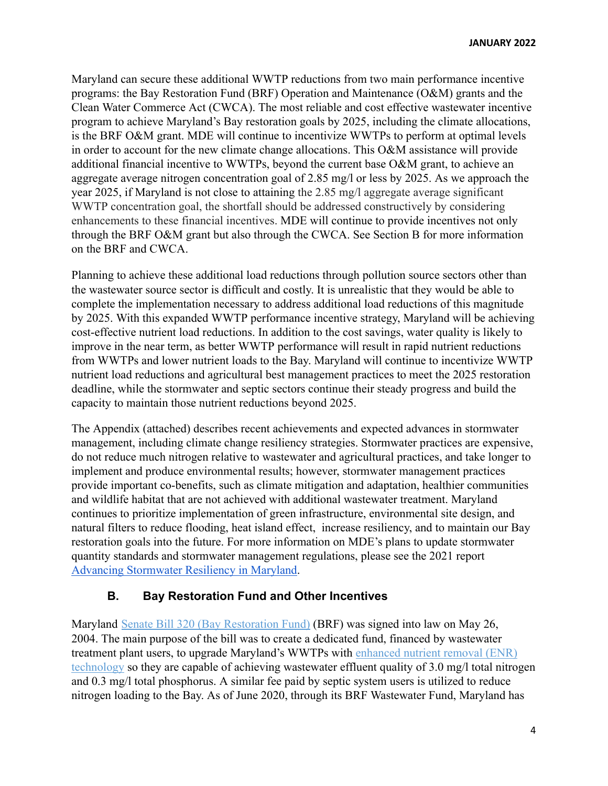Maryland can secure these additional WWTP reductions from two main performance incentive programs: the Bay Restoration Fund (BRF) Operation and Maintenance (O&M) grants and the Clean Water Commerce Act (CWCA). The most reliable and cost effective wastewater incentive program to achieve Maryland's Bay restoration goals by 2025, including the climate allocations, is the BRF O&M grant. MDE will continue to incentivize WWTPs to perform at optimal levels in order to account for the new climate change allocations. This O&M assistance will provide additional financial incentive to WWTPs, beyond the current base O&M grant, to achieve an aggregate average nitrogen concentration goal of 2.85 mg/l or less by 2025. As we approach the year 2025, if Maryland is not close to attaining the 2.85 mg/l aggregate average significant WWTP concentration goal, the shortfall should be addressed constructively by considering enhancements to these financial incentives. MDE will continue to provide incentives not only through the BRF O&M grant but also through the CWCA. See Section B for more information on the BRF and CWCA.

Planning to achieve these additional load reductions through pollution source sectors other than the wastewater source sector is difficult and costly. It is unrealistic that they would be able to complete the implementation necessary to address additional load reductions of this magnitude by 2025. With this expanded WWTP performance incentive strategy, Maryland will be achieving cost-effective nutrient load reductions. In addition to the cost savings, water quality is likely to improve in the near term, as better WWTP performance will result in rapid nutrient reductions from WWTPs and lower nutrient loads to the Bay. Maryland will continue to incentivize WWTP nutrient load reductions and agricultural best management practices to meet the 2025 restoration deadline, while the stormwater and septic sectors continue their steady progress and build the capacity to maintain those nutrient reductions beyond 2025.

The Appendix (attached) describes recent achievements and expected advances in stormwater management, including climate change resiliency strategies. Stormwater practices are expensive, do not reduce much nitrogen relative to wastewater and agricultural practices, and take longer to implement and produce environmental results; however, stormwater management practices provide important co-benefits, such as climate mitigation and adaptation, healthier communities and wildlife habitat that are not achieved with additional wastewater treatment. Maryland continues to prioritize implementation of green infrastructure, environmental site design, and natural filters to reduce flooding, heat island effect, increase resiliency, and to maintain our Bay restoration goals into the future. For more information on MDE's plans to update stormwater quantity standards and stormwater management regulations, please see the 2021 report [Advancing Stormwater Resiliency in Maryland](https://mde.maryland.gov/Documents/A-StorRMreport.pdf).

# **B. Bay Restoration Fund and Other Incentives**

Maryland [Senate Bill 320 \(Bay Restoration Fund\)](http://mlis.state.md.us/2004rs/billfile/sb0320.htm) (BRF) was signed into law on May 26, 2004. The main purpose of the bill was to create a dedicated fund, financed by wastewater treatment plant users, to upgrade Maryland's WWTPs with [enhanced nutrient removal \(ENR\)](https://mde.state.md.us/programs/Water/BayRestorationFund/Pages/enr.aspx) [technology](https://mde.state.md.us/programs/Water/BayRestorationFund/Pages/enr.aspx) so they are capable of achieving wastewater effluent quality of 3.0 mg/l total nitrogen and 0.3 mg/l total phosphorus. A similar fee paid by septic system users is utilized to reduce nitrogen loading to the Bay. As of June 2020, through its BRF Wastewater Fund, Maryland has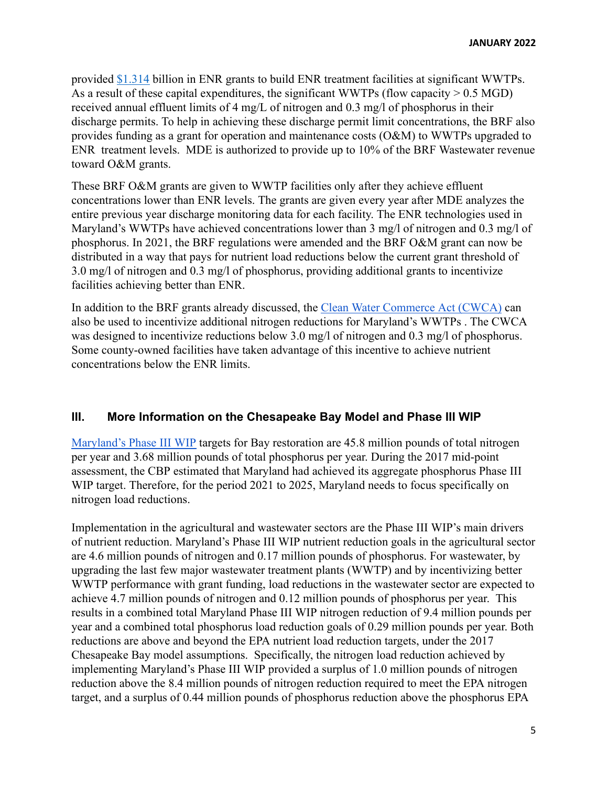provided [\\$1.314](https://mde.maryland.gov/programs/Water/BayRestorationFund/Documents/2021%20BRF%20Report-Final%201.6.2021.pdf) billion in ENR grants to build ENR treatment facilities at significant WWTPs. As a result of these capital expenditures, the significant WWTPs (flow capacity  $> 0.5$  MGD) received annual effluent limits of 4 mg/L of nitrogen and 0.3 mg/l of phosphorus in their discharge permits. To help in achieving these discharge permit limit concentrations, the BRF also provides funding as a grant for operation and maintenance costs (O&M) to WWTPs upgraded to ENR treatment levels. MDE is authorized to provide up to 10% of the BRF Wastewater revenue toward O&M grants.

These BRF O&M grants are given to WWTP facilities only after they achieve effluent concentrations lower than ENR levels. The grants are given every year after MDE analyzes the entire previous year discharge monitoring data for each facility. The ENR technologies used in Maryland's WWTPs have achieved concentrations lower than 3 mg/l of nitrogen and 0.3 mg/l of phosphorus. In 2021, the BRF regulations were amended and the BRF O&M grant can now be distributed in a way that pays for nutrient load reductions below the current grant threshold of 3.0 mg/l of nitrogen and 0.3 mg/l of phosphorus, providing additional grants to incentivize facilities achieving better than ENR.

In addition to the BRF grants already discussed, the [Clean Water Commerce Act \(CWCA\)](https://mgaleg.maryland.gov/2021RS/bills/sb/sb0119T.pdf) can also be used to incentivize additional nitrogen reductions for Maryland's WWTPs . The CWCA was designed to incentivize reductions below 3.0 mg/l of nitrogen and 0.3 mg/l of phosphorus. Some county-owned facilities have taken advantage of this incentive to achieve nutrient concentrations below the ENR limits.

# **III. More Information on the Chesapeake Bay Model and Phase III WIP**

[Maryland's Phase III WIP](https://mde.maryland.gov/programs/Water/TMDL/TMDLImplementation/Pages/Phase3WIP.aspx) targets for Bay restoration are 45.8 million pounds of total nitrogen per year and 3.68 million pounds of total phosphorus per year. During the 2017 mid-point assessment, the CBP estimated that Maryland had achieved its aggregate phosphorus Phase III WIP target. Therefore, for the period 2021 to 2025, Maryland needs to focus specifically on nitrogen load reductions.

Implementation in the agricultural and wastewater sectors are the Phase III WIP's main drivers of nutrient reduction. Maryland's Phase III WIP nutrient reduction goals in the agricultural sector are 4.6 million pounds of nitrogen and 0.17 million pounds of phosphorus. For wastewater, by upgrading the last few major wastewater treatment plants (WWTP) and by incentivizing better WWTP performance with grant funding, load reductions in the wastewater sector are expected to achieve 4.7 million pounds of nitrogen and 0.12 million pounds of phosphorus per year. This results in a combined total Maryland Phase III WIP nitrogen reduction of 9.4 million pounds per year and a combined total phosphorus load reduction goals of 0.29 million pounds per year. Both reductions are above and beyond the EPA nutrient load reduction targets, under the 2017 Chesapeake Bay model assumptions. Specifically, the nitrogen load reduction achieved by implementing Maryland's Phase III WIP provided a surplus of 1.0 million pounds of nitrogen reduction above the 8.4 million pounds of nitrogen reduction required to meet the EPA nitrogen target, and a surplus of 0.44 million pounds of phosphorus reduction above the phosphorus EPA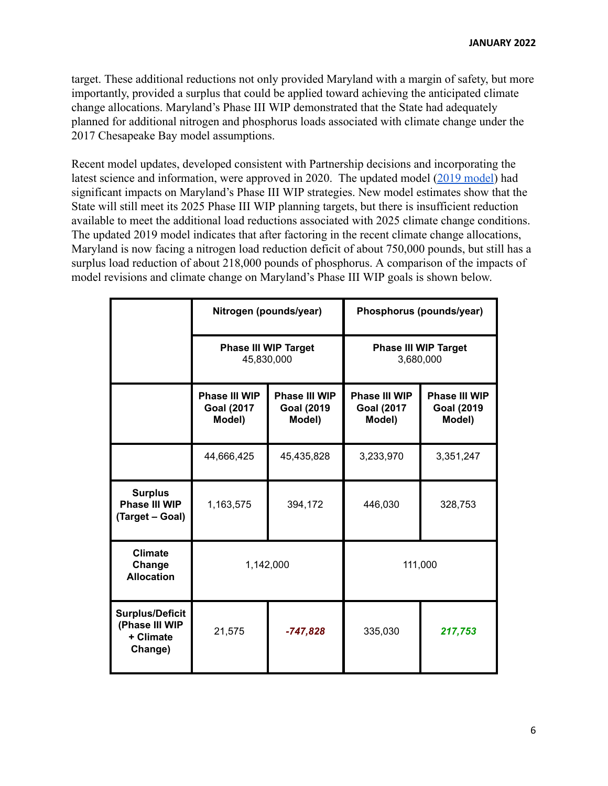target. These additional reductions not only provided Maryland with a margin of safety, but more importantly, provided a surplus that could be applied toward achieving the anticipated climate change allocations. Maryland's Phase III WIP demonstrated that the State had adequately planned for additional nitrogen and phosphorus loads associated with climate change under the 2017 Chesapeake Bay model assumptions.

Recent model updates, developed consistent with Partnership decisions and incorporating the latest science and information, were approved in 2020. The updated model [\(2019 model](https://cast.chesapeakebay.net/documentation/modeldocumentation)) had significant impacts on Maryland's Phase III WIP strategies. New model estimates show that the State will still meet its 2025 Phase III WIP planning targets, but there is insufficient reduction available to meet the additional load reductions associated with 2025 climate change conditions. The updated 2019 model indicates that after factoring in the recent climate change allocations, Maryland is now facing a nitrogen load reduction deficit of about 750,000 pounds, but still has a surplus load reduction of about 218,000 pounds of phosphorus. A comparison of the impacts of model revisions and climate change on Maryland's Phase III WIP goals is shown below.

|                                                                  | Nitrogen (pounds/year)                       |                                              | Phosphorus (pounds/year)                     |                                              |
|------------------------------------------------------------------|----------------------------------------------|----------------------------------------------|----------------------------------------------|----------------------------------------------|
|                                                                  | <b>Phase III WIP Target</b><br>45,830,000    |                                              | <b>Phase III WIP Target</b><br>3,680,000     |                                              |
|                                                                  | Phase III WIP<br><b>Goal (2017</b><br>Model) | Phase III WIP<br><b>Goal (2019</b><br>Model) | Phase III WIP<br><b>Goal (2017</b><br>Model) | Phase III WIP<br><b>Goal (2019</b><br>Model) |
|                                                                  | 44,666,425                                   | 45,435,828                                   | 3,233,970                                    | 3,351,247                                    |
| <b>Surplus</b><br>Phase III WIP<br>(Target - Goal)               | 1,163,575                                    | 394,172                                      | 446,030                                      | 328,753                                      |
| <b>Climate</b><br>Change<br><b>Allocation</b>                    | 1,142,000                                    |                                              | 111,000                                      |                                              |
| <b>Surplus/Deficit</b><br>(Phase III WIP<br>+ Climate<br>Change) | 21,575                                       | $-747,828$                                   | 335,030                                      | 217,753                                      |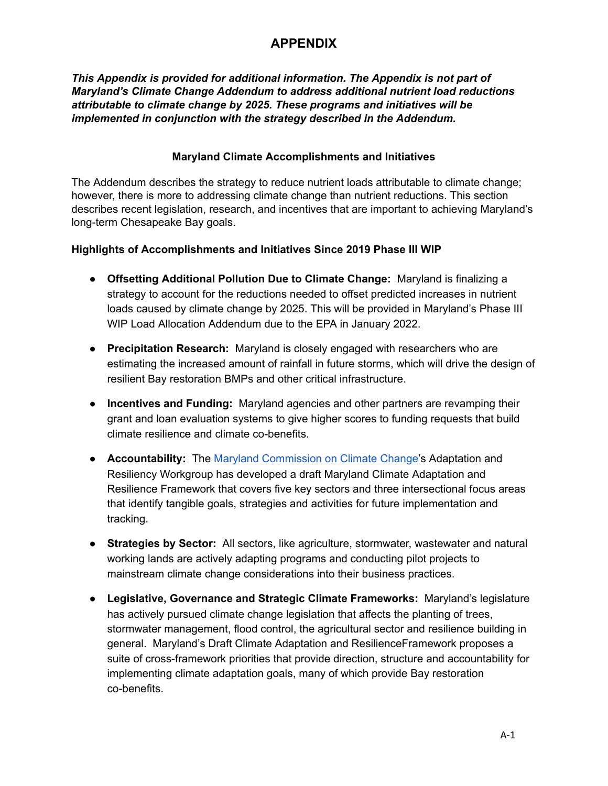# **APPENDIX**

*This Appendix is provided for additional information. The Appendix is not part of Maryland's Climate Change Addendum to address additional nutrient load reductions attributable to climate change by 2025. These programs and initiatives will be implemented in conjunction with the strategy described in the Addendum.*

## **Maryland Climate Accomplishments and Initiatives**

The Addendum describes the strategy to reduce nutrient loads attributable to climate change; however, there is more to addressing climate change than nutrient reductions. This section describes recent legislation, research, and incentives that are important to achieving Maryland's long-term Chesapeake Bay goals.

# **Highlights of Accomplishments and Initiatives Since 2019 Phase III WIP**

- **Offsetting Additional Pollution Due to Climate Change:** Maryland is finalizing a strategy to account for the reductions needed to offset predicted increases in nutrient loads caused by climate change by 2025. This will be provided in Maryland's Phase III WIP Load Allocation Addendum due to the EPA in January 2022.
- **Precipitation Research:** Maryland is closely engaged with researchers who are estimating the increased amount of rainfall in future storms, which will drive the design of resilient Bay restoration BMPs and other critical infrastructure.
- **Incentives and Funding:** Maryland agencies and other partners are revamping their grant and loan evaluation systems to give higher scores to funding requests that build climate resilience and climate co-benefits.
- **Accountability:** The Maryland [Commission](https://mde.maryland.gov/programs/Air/ClimateChange/MCCC/Pages/index.aspx) on Climate Change's Adaptation and Resiliency Workgroup has developed a draft Maryland Climate Adaptation and Resilience Framework that covers five key sectors and three intersectional focus areas that identify tangible goals, strategies and activities for future implementation and tracking.
- **Strategies by Sector:** All sectors, like agriculture, stormwater, wastewater and natural working lands are actively adapting programs and conducting pilot projects to mainstream climate change considerations into their business practices.
- **Legislative, Governance and Strategic Climate Frameworks:** Maryland's legislature has actively pursued climate change legislation that affects the planting of trees, stormwater management, flood control, the agricultural sector and resilience building in general. Maryland's Draft Climate Adaptation and ResilienceFramework proposes a suite of cross-framework priorities that provide direction, structure and accountability for implementing climate adaptation goals, many of which provide Bay restoration co-benefits.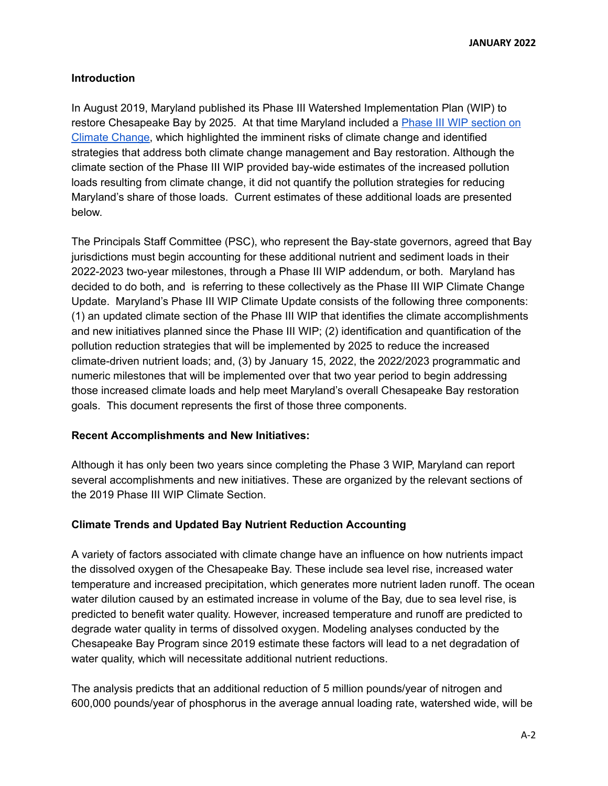**JANUARY 2022**

#### **Introduction**

In August 2019, Maryland published its Phase III Watershed Implementation Plan (WIP) to restore Chesapeake Bay by 2025. At that time Maryland included a Phase III WIP [section](https://mde.maryland.gov/programs/Water/TMDL/TMDLImplementation/Documents/Phase%20III%20WIP%20Report/Final%20Phase%20III%20WIP%20Package/Phase%20III%20WIP%20Document/Main%20Report-Phase%20III%20WIP-Final_Maryland_8.23.2019-2.pdf) on Climate [Change,](https://mde.maryland.gov/programs/Water/TMDL/TMDLImplementation/Documents/Phase%20III%20WIP%20Report/Final%20Phase%20III%20WIP%20Package/Phase%20III%20WIP%20Document/Main%20Report-Phase%20III%20WIP-Final_Maryland_8.23.2019-2.pdf) which highlighted the imminent risks of climate change and identified strategies that address both climate change management and Bay restoration. Although the climate section of the Phase III WIP provided bay-wide estimates of the increased pollution loads resulting from climate change, it did not quantify the pollution strategies for reducing Maryland's share of those loads. Current estimates of these additional loads are presented below.

The Principals Staff Committee (PSC), who represent the Bay-state governors, agreed that Bay jurisdictions must begin accounting for these additional nutrient and sediment loads in their 2022-2023 two-year milestones, through a Phase III WIP addendum, or both. Maryland has decided to do both, and is referring to these collectively as the Phase III WIP Climate Change Update. Maryland's Phase III WIP Climate Update consists of the following three components: (1) an updated climate section of the Phase III WIP that identifies the climate accomplishments and new initiatives planned since the Phase III WIP; (2) identification and quantification of the pollution reduction strategies that will be implemented by 2025 to reduce the increased climate-driven nutrient loads; and, (3) by January 15, 2022, the 2022/2023 programmatic and numeric milestones that will be implemented over that two year period to begin addressing those increased climate loads and help meet Maryland's overall Chesapeake Bay restoration goals. This document represents the first of those three components.

#### **Recent Accomplishments and New Initiatives:**

Although it has only been two years since completing the Phase 3 WIP, Maryland can report several accomplishments and new initiatives. These are organized by the relevant sections of the 2019 Phase III WIP Climate Section.

## **Climate Trends and Updated Bay Nutrient Reduction Accounting**

A variety of factors associated with climate change have an influence on how nutrients impact the dissolved oxygen of the Chesapeake Bay. These include sea level rise, increased water temperature and increased precipitation, which generates more nutrient laden runoff. The ocean water dilution caused by an estimated increase in volume of the Bay, due to sea level rise, is predicted to benefit water quality. However, increased temperature and runoff are predicted to degrade water quality in terms of dissolved oxygen. Modeling analyses conducted by the Chesapeake Bay Program since 2019 estimate these factors will lead to a net degradation of water quality, which will necessitate additional nutrient reductions.

The analysis predicts that an additional reduction of 5 million pounds/year of nitrogen and 600,000 pounds/year of phosphorus in the average annual loading rate, watershed wide, will be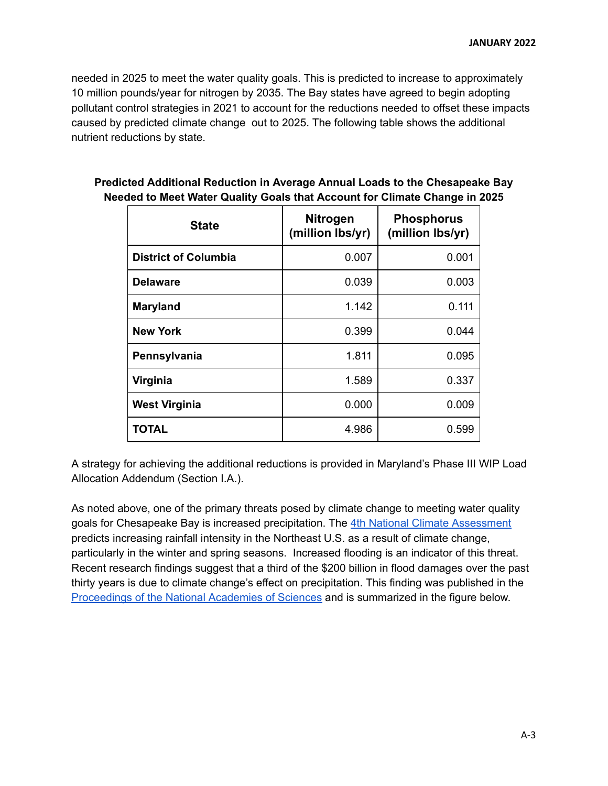needed in 2025 to meet the water quality goals. This is predicted to increase to approximately 10 million pounds/year for nitrogen by 2035. The Bay states have agreed to begin adopting pollutant control strategies in 2021 to account for the reductions needed to offset these impacts caused by predicted climate change out to 2025. The following table shows the additional nutrient reductions by state.

| <b>State</b>                | <b>Nitrogen</b><br>(million lbs/yr) | <b>Phosphorus</b><br>(million lbs/yr) |
|-----------------------------|-------------------------------------|---------------------------------------|
| <b>District of Columbia</b> | 0.007                               | 0.001                                 |
| <b>Delaware</b>             | 0.039                               | 0.003                                 |
| <b>Maryland</b>             | 1.142                               | 0.111                                 |
| <b>New York</b>             | 0.399                               | 0.044                                 |
| Pennsylvania                | 1.811                               | 0.095                                 |
| Virginia                    | 1.589                               | 0.337                                 |
| <b>West Virginia</b>        | 0.000                               | 0.009                                 |
| TOTAL                       | 4.986                               | 0.599                                 |

# **Predicted Additional Reduction in Average Annual Loads to the Chesapeake Bay Needed to Meet Water Quality Goals that Account for Climate Change in 2025**

A strategy for achieving the additional reductions is provided in Maryland's Phase III WIP Load Allocation Addendum (Section I.A.).

As noted above, one of the primary threats posed by climate change to meeting water quality goals for Chesapeake Bay is increased precipitation. The 4th National Climate [Assessment](https://nca2018.globalchange.gov/chapter/18/) predicts increasing rainfall intensity in the Northeast U.S. as a result of climate change, particularly in the winter and spring seasons. Increased flooding is an indicator of this threat. Recent research findings suggest that a third of the \$200 billion in flood damages over the past thirty years is due to climate change's effect on precipitation. This finding was published in the [Proceedings](https://sitn.hms.harvard.edu/flash/2021/climate-change-tied-to-a-third-of-recent-flood-damage-in-u-s/) of the National Academies of Sciences and is summarized in the figure below.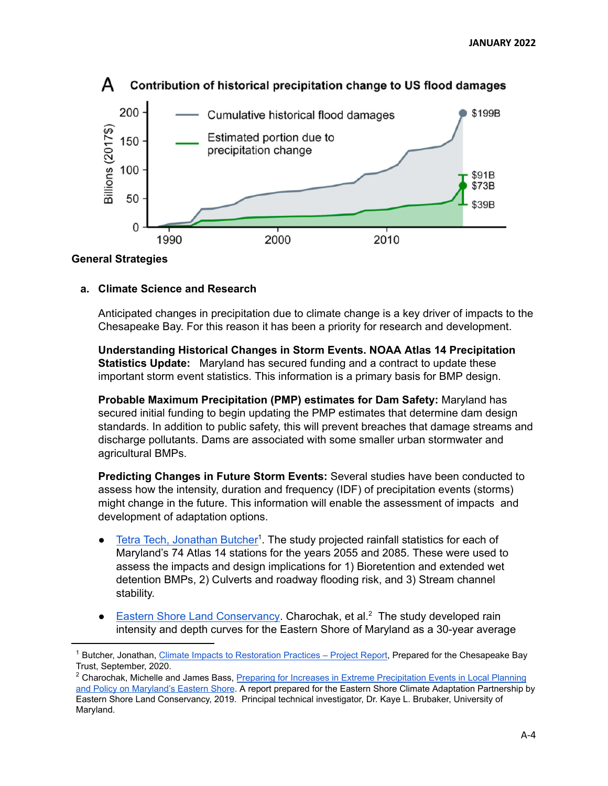

# Contribution of historical precipitation change to US flood damages

#### **General Strategies**

#### **a. Climate Science and Research**

Anticipated changes in precipitation due to climate change is a key driver of impacts to the Chesapeake Bay. For this reason it has been a priority for research and development.

**Understanding Historical Changes in Storm Events. NOAA Atlas 14 Precipitation Statistics Update:** Maryland has secured funding and a contract to update these important storm event statistics. This information is a primary basis for BMP design.

**Probable Maximum Precipitation (PMP) estimates for Dam Safety:** Maryland has secured initial funding to begin updating the PMP estimates that determine dam design standards. In addition to public safety, this will prevent breaches that damage streams and discharge pollutants. Dams are associated with some smaller urban stormwater and agricultural BMPs.

**Predicting Changes in Future Storm Events:** Several studies have been conducted to assess how the intensity, duration and frequency (IDF) of precipitation events (storms) might change in the future. This information will enable the assessment of impacts and development of adaptation options.

- Tetra Tech, [Jonathan](https://cbtrust.org/wp-content/uploads/Grant16928-Deliverable11-FinalProjectReport_120820.pdf) Butcher<sup>1</sup>. The study projected rainfall statistics for each of Maryland's 74 Atlas 14 stations for the years 2055 and 2085. These were used to assess the impacts and design implications for 1) Bioretention and extended wet detention BMPs, 2) Culverts and roadway flooding risk, and 3) Stream channel stability.
- Eastern Shore Land [Conservancy](https://www.eslc.org/wp-content/uploads/2020/01/ExtremePrecipitationReport.pdf). Charochak, et al.<sup>2</sup> The study developed rain intensity and depth curves for the Eastern Shore of Maryland as a 30-year average

 $1$  Butcher, Jonathan, [Climate Impacts to Restoration Practices – Project Report](https://cbtrust.org/wp-content/uploads/Grant16928-Deliverable11-FinalProjectReport_120820.pdf), Prepared for the Chesapeake Bay Trust, September, 2020.

<sup>&</sup>lt;sup>2</sup> Charochak, Michelle and James Bass, [Preparing for Increases in Extreme Precipitation Events in Local Planning](https://www.eslc.org/wp-content/uploads/2020/01/ExtremePrecipitationReport.pdf) [and Policy on Maryland's Eastern Shore](https://www.eslc.org/wp-content/uploads/2020/01/ExtremePrecipitationReport.pdf). A report prepared for the Eastern Shore Climate Adaptation Partnership by Eastern Shore Land Conservancy, 2019. Principal technical investigator, Dr. Kaye L. Brubaker, University of Maryland.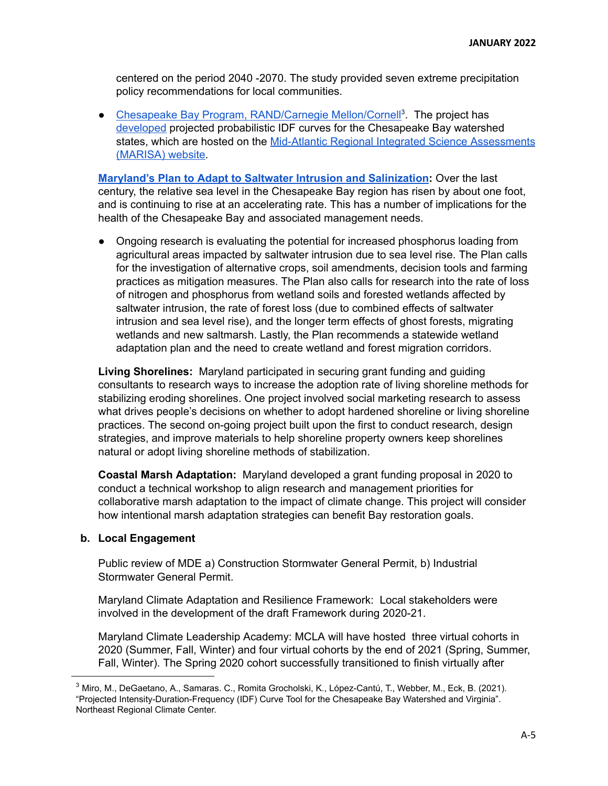centered on the period 2040 -2070. The study provided seven extreme precipitation policy recommendations for local communities.

• Chesapeake Bay Program, [RAND/Carnegie](https://midatlantic-idf.rcc-acis.org/) Mellon/Cornell<sup>3</sup>. The project has developed projected probabilistic IDF curves for the Chesapeake Bay watershed states, which are hosted on the Mid-Atlantic Regional Integrated Science [Assessments](https://midatlantic-idf.rcc-acis.org/) [\(MARISA\)](https://midatlantic-idf.rcc-acis.org/) website.

**Maryland's Plan to Adapt to Saltwater Intrusion and [Salinization](https://planning.maryland.gov/Documents/OurWork/envr-planning/2019-1212-Marylands-plan-to-adapt-to-saltwater-intrusion-and-salinization.pdf):** Over the last century, the relative sea level in the Chesapeake Bay region has risen by about one foot, and is continuing to rise at an accelerating rate. This has a number of implications for the health of the Chesapeake Bay and associated management needs.

● Ongoing research is evaluating the potential for increased phosphorus loading from agricultural areas impacted by saltwater intrusion due to sea level rise. The Plan calls for the investigation of alternative crops, soil amendments, decision tools and farming practices as mitigation measures. The Plan also calls for research into the rate of loss of nitrogen and phosphorus from wetland soils and forested wetlands affected by saltwater intrusion, the rate of forest loss (due to combined effects of saltwater intrusion and sea level rise), and the longer term effects of ghost forests, migrating wetlands and new saltmarsh. Lastly, the Plan recommends a statewide wetland adaptation plan and the need to create wetland and forest migration corridors.

**Living Shorelines:** Maryland participated in securing grant funding and guiding consultants to research ways to increase the adoption rate of living shoreline methods for stabilizing eroding shorelines. One project involved social marketing research to assess what drives people's decisions on whether to adopt hardened shoreline or living shoreline practices. The second on-going project built upon the first to conduct research, design strategies, and improve materials to help shoreline property owners keep shorelines natural or adopt living shoreline methods of stabilization.

**Coastal Marsh Adaptation:** Maryland developed a grant funding proposal in 2020 to conduct a technical workshop to align research and management priorities for collaborative marsh adaptation to the impact of climate change. This project will consider how intentional marsh adaptation strategies can benefit Bay restoration goals.

#### **b. Local Engagement**

Public review of MDE a) Construction Stormwater General Permit, b) Industrial Stormwater General Permit.

Maryland Climate Adaptation and Resilience Framework: Local stakeholders were involved in the development of the draft Framework during 2020-21.

Maryland Climate Leadership Academy: MCLA will have hosted three virtual cohorts in 2020 (Summer, Fall, Winter) and four virtual cohorts by the end of 2021 (Spring, Summer, Fall, Winter). The Spring 2020 cohort successfully transitioned to finish virtually after

<sup>3</sup> Miro, M., DeGaetano, A., Samaras. C., Romita Grocholski, K., López-Cantú, T., Webber, M., Eck, B. (2021). "Projected Intensity-Duration-Frequency (IDF) Curve Tool for the Chesapeake Bay Watershed and Virginia". Northeast Regional Climate Center.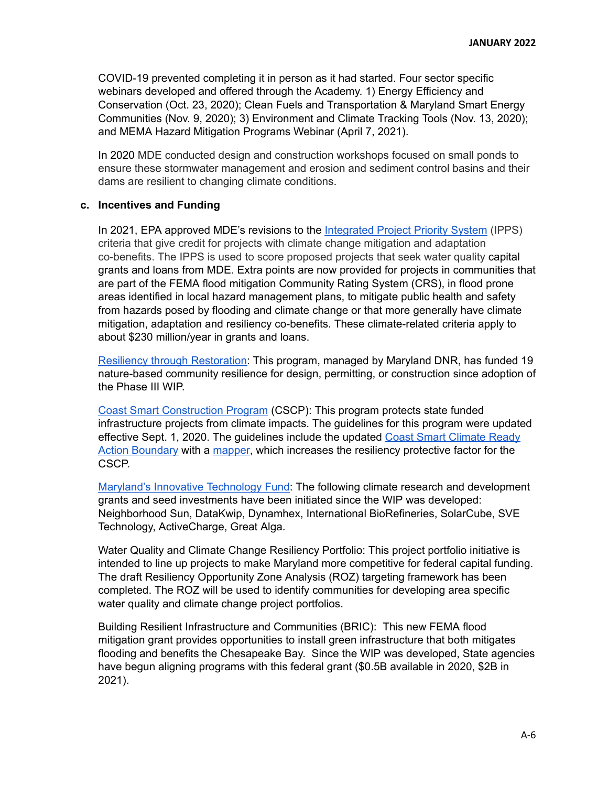COVID-19 prevented completing it in person as it had started. Four sector specific webinars developed and offered through the Academy. 1) Energy Efficiency and Conservation (Oct. 23, 2020); Clean Fuels and Transportation & Maryland Smart Energy Communities (Nov. 9, 2020); 3) Environment and Climate Tracking Tools (Nov. 13, 2020); and MEMA Hazard Mitigation Programs Webinar (April 7, 2021).

In 2020 MDE conducted design and construction workshops focused on small ponds to ensure these stormwater management and erosion and sediment control basins and their dams are resilient to changing climate conditions.

#### **c. Incentives and Funding**

In 2021, EPA approved MDE's revisions to the [Integrated](https://mde.maryland.gov/programs/Water/WQFA/Documents/FINAL%20WQ%20IPPS%20Rev%205.pdf) Project Priority System (IPPS) criteria that give credit for projects with climate change mitigation and adaptation co-benefits. The IPPS is used to score proposed projects that seek water quality capital grants and loans from MDE. Extra points are now provided for projects in communities that are part of the FEMA flood mitigation Community Rating System (CRS), in flood prone areas identified in local hazard management plans, to mitigate public health and safety from hazards posed by flooding and climate change or that more generally have climate mitigation, adaptation and resiliency co-benefits. These climate-related criteria apply to about \$230 million/year in grants and loans.

Resiliency through [Restoration:](https://dnr.maryland.gov/ccs/Pages/Resiliency-through-Restoration.aspx) This program, managed by Maryland DNR, has funded 19 nature-based community resilience for design, permitting, or construction since adoption of the Phase III WIP.

Coast Smart [Construction](https://dnr.maryland.gov/climateresilience/Documents/2020-Coast-Smart-Program-Document-FINAL.pdf) Program (CSCP): This program protects state funded infrastructure projects from climate impacts. The guidelines for this program were updated effective Sept. 1, 2020. The guidelines include the updated Coast Smart [Climate](https://storymaps.arcgis.com/stories/bd1ab6827c77457a9c6aec5ca1eb4af2) Ready Action [Boundary](https://storymaps.arcgis.com/stories/bd1ab6827c77457a9c6aec5ca1eb4af2) with a [mapper,](https://www.arcgis.com/home/item.html?id=93218f38c5014853bb308dacdaf23a9c) which increases the resiliency protective factor for the CSCP.

Maryland's Innovative [Technology](https://dnr.maryland.gov/ccs/Pages/funding/intechfund.aspx) Fund: The following climate research and development grants and seed investments have been initiated since the WIP was developed: Neighborhood Sun, DataKwip, Dynamhex, International BioRefineries, SolarCube, SVE Technology, ActiveCharge, Great Alga.

Water Quality and Climate Change Resiliency Portfolio: This project portfolio initiative is intended to line up projects to make Maryland more competitive for federal capital funding. The draft Resiliency Opportunity Zone Analysis (ROZ) targeting framework has been completed. The ROZ will be used to identify communities for developing area specific water quality and climate change project portfolios.

Building Resilient Infrastructure and Communities (BRIC): This new FEMA flood mitigation grant provides opportunities to install green infrastructure that both mitigates flooding and benefits the Chesapeake Bay. Since the WIP was developed, State agencies have begun aligning programs with this federal grant (\$0.5B available in 2020, \$2B in 2021).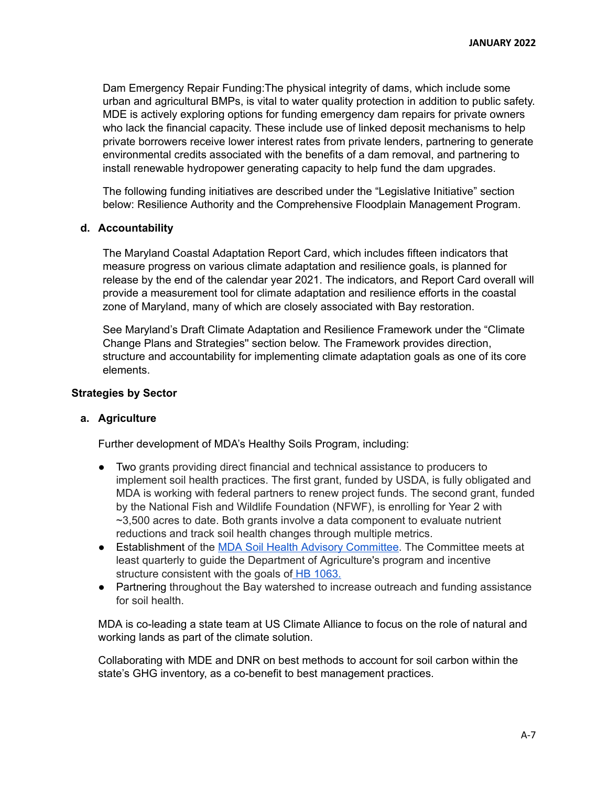Dam Emergency Repair Funding:The physical integrity of dams, which include some urban and agricultural BMPs, is vital to water quality protection in addition to public safety. MDE is actively exploring options for funding emergency dam repairs for private owners who lack the financial capacity. These include use of linked deposit mechanisms to help private borrowers receive lower interest rates from private lenders, partnering to generate environmental credits associated with the benefits of a dam removal, and partnering to install renewable hydropower generating capacity to help fund the dam upgrades.

The following funding initiatives are described under the "Legislative Initiative" section below: Resilience Authority and the Comprehensive Floodplain Management Program.

#### **d. Accountability**

The Maryland Coastal Adaptation Report Card, which includes fifteen indicators that measure progress on various climate adaptation and resilience goals, is planned for release by the end of the calendar year 2021. The indicators, and Report Card overall will provide a measurement tool for climate adaptation and resilience efforts in the coastal zone of Maryland, many of which are closely associated with Bay restoration.

See Maryland's Draft Climate Adaptation and Resilience Framework under the "Climate Change Plans and Strategies'' section below. The Framework provides direction, structure and accountability for implementing climate adaptation goals as one of its core elements.

#### **Strategies by Sector**

#### **a. Agriculture**

Further development of MDA's Healthy Soils Program, including:

- Two grants providing direct financial and technical assistance to producers to implement soil health practices. The first grant, funded by USDA, is fully obligated and MDA is working with federal partners to renew project funds. The second grant, funded by the National Fish and Wildlife Foundation (NFWF), is enrolling for Year 2 with ~3,500 acres to date. Both grants involve a data component to evaluate nutrient reductions and track soil health changes through multiple metrics.
- Establishment of the MDA Soil Health Advisory [Committee.](https://mda.maryland.gov/resource_conservation/counties/SoilHealthAdvisoryMembers.pdf) The Committee meets at least quarterly to guide the Department of Agriculture's program and incentive structure consistent with the goals of HB [1063](https://mda.maryland.gov/resource_conservation/counties/Ch_373_hb1063T.pdf).
- Partnering throughout the Bay watershed to increase outreach and funding assistance for soil health.

MDA is co-leading a state team at US Climate Alliance to focus on the role of natural and working lands as part of the climate solution.

Collaborating with MDE and DNR on best methods to account for soil carbon within the state's GHG inventory, as a co-benefit to best management practices.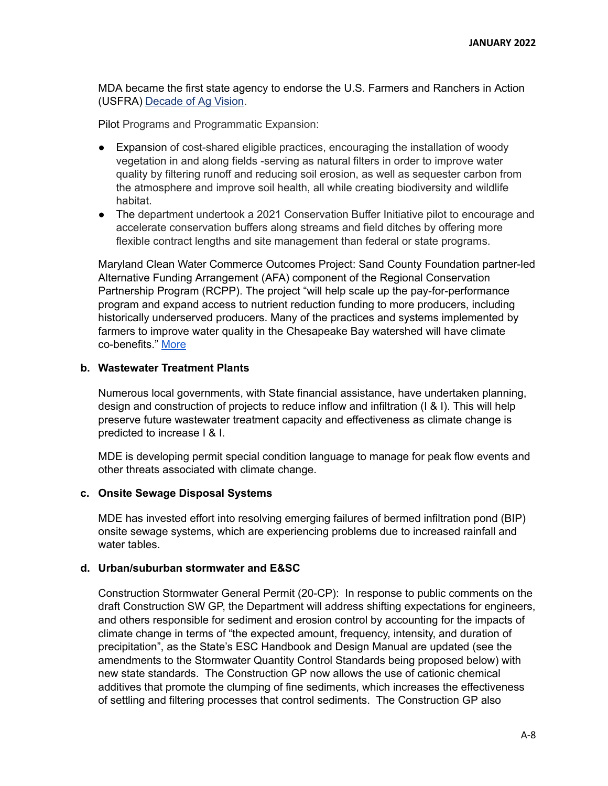MDA became the first state agency to endorse the U.S. Farmers and Ranchers in Action (USFRA) [Decade](https://usfarmersandranchers.org/join-the-movement/the-decade-of-ag-vision/) of Ag Vision.

Pilot Programs and Programmatic Expansion:

- Expansion of cost-shared eligible practices, encouraging the installation of woody vegetation in and along fields -serving as natural filters in order to improve water quality by filtering runoff and reducing soil erosion, as well as sequester carbon from the atmosphere and improve soil health, all while creating biodiversity and wildlife habitat.
- The department undertook a 2021 Conservation Buffer Initiative pilot to encourage and accelerate conservation buffers along streams and field ditches by offering more flexible contract lengths and site management than federal or state programs.

Maryland Clean Water Commerce Outcomes Project: Sand County Foundation partner-led Alternative Funding Arrangement (AFA) component of the Regional Conservation Partnership Program (RCPP). The project "will help scale up the pay-for-performance program and expand access to nutrient reduction funding to more producers, including historically underserved producers. Many of the practices and systems implemented by farmers to improve water quality in the Chesapeake Bay watershed will have climate co-benefits." [More](https://www.morningagclips.com/new-projects-focus-on-climate-smart-ag-equity-in-program-delivery/)

#### **b. Wastewater Treatment Plants**

Numerous local governments, with State financial assistance, have undertaken planning, design and construction of projects to reduce inflow and infiltration (I & I). This will help preserve future wastewater treatment capacity and effectiveness as climate change is predicted to increase I & I.

MDE is developing permit special condition language to manage for peak flow events and other threats associated with climate change.

#### **c. Onsite Sewage Disposal Systems**

MDE has invested effort into resolving emerging failures of bermed infiltration pond (BIP) onsite sewage systems, which are experiencing problems due to increased rainfall and water tables.

#### **d. Urban/suburban stormwater and E&SC**

Construction Stormwater General Permit (20-CP): In response to public comments on the draft Construction SW GP, the Department will address shifting expectations for engineers, and others responsible for sediment and erosion control by accounting for the impacts of climate change in terms of "the expected amount, frequency, intensity, and duration of precipitation", as the State's ESC Handbook and Design Manual are updated (see the amendments to the Stormwater Quantity Control Standards being proposed below) with new state standards. The Construction GP now allows the use of cationic chemical additives that promote the clumping of fine sediments, which increases the effectiveness of settling and filtering processes that control sediments. The Construction GP also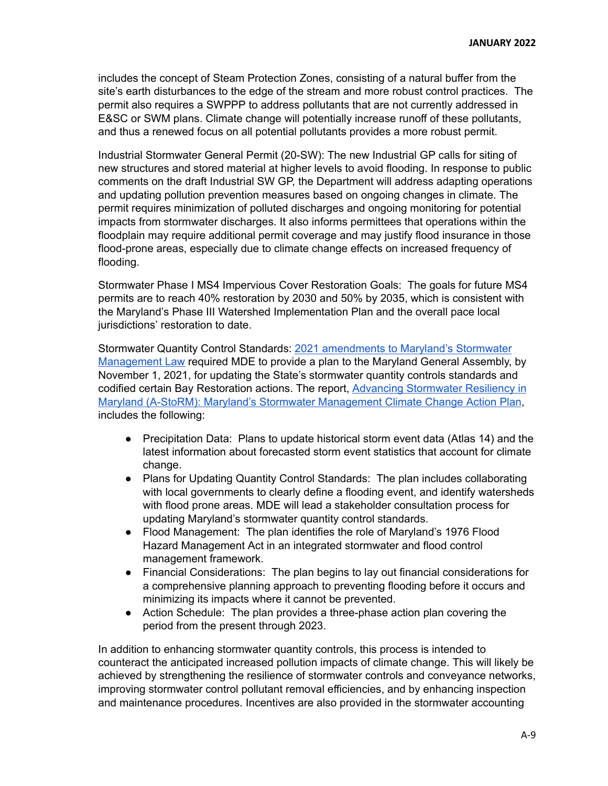includes the concept of Steam Protection Zones, consisting of a natural buffer from the site's earth disturbances to the edge of the stream and more robust control practices. The permit also requires a SWPPP to address pollutants that are not currently addressed in E&SC or SWM plans. Climate change will potentially increase runoff of these pollutants, and thus a renewed focus on all potential pollutants provides a more robust permit.

Industrial Stormwater General Permit (20-SW): The new Industrial GP calls for siting of new structures and stored material at higher levels to avoid flooding. In response to public comments on the draft Industrial SW GP, the Department will address adapting operations and updating pollution prevention measures based on ongoing changes in climate. The permit requires minimization of polluted discharges and ongoing monitoring for potential impacts from stormwater discharges. It also informs permittees that operations within the floodplain may require additional permit coverage and may justify flood insurance in those flood-prone areas, especially due to climate change effects on increased frequency of flooding.

Stormwater Phase I MS4 Impervious Cover Restoration Goals: The goals for future MS4 permits are to reach 40% restoration by 2030 and 50% by 2035, which is consistent with the Maryland's Phase III Watershed Implementation Plan and the overall pace local jurisdictions' restoration to date.

Stormwater Quantity Control Standards: 2021 [amendments](https://mgaleg.maryland.gov/2021RS/Chapters_noln/CH_641_sb0227e.pdf) to Maryland's Stormwater [Management](https://mgaleg.maryland.gov/2021RS/Chapters_noln/CH_641_sb0227e.pdf) Law required MDE to provide a plan to the Maryland General Assembly, by November 1, 2021, for updating the State's stormwater quantity controls standards and codified certain Bay Restoration actions. The report, Advancing [Stormwater](https://mde.maryland.gov/Documents/A-StorRMreport.pdf) Resiliency in Maryland (A-StoRM): Maryland's Stormwater [Management](https://mde.maryland.gov/Documents/A-StorRMreport.pdf) Climate Change Action Plan, includes the following:

- Precipitation Data: Plans to update historical storm event data (Atlas 14) and the latest information about forecasted storm event statistics that account for climate change.
- Plans for Updating Quantity Control Standards: The plan includes collaborating with local governments to clearly define a flooding event, and identify watersheds with flood prone areas. MDE will lead a stakeholder consultation process for updating Maryland's stormwater quantity control standards.
- Flood Management: The plan identifies the role of Maryland's 1976 Flood Hazard Management Act in an integrated stormwater and flood control management framework.
- Financial Considerations: The plan begins to lay out financial considerations for a comprehensive planning approach to preventing flooding before it occurs and minimizing its impacts where it cannot be prevented.
- Action Schedule: The plan provides a three-phase action plan covering the period from the present through 2023.

In addition to enhancing stormwater quantity controls, this process is intended to counteract the anticipated increased pollution impacts of climate change. This will likely be achieved by strengthening the resilience of stormwater controls and conveyance networks, improving stormwater control pollutant removal efficiencies, and by enhancing inspection and maintenance procedures. Incentives are also provided in the stormwater accounting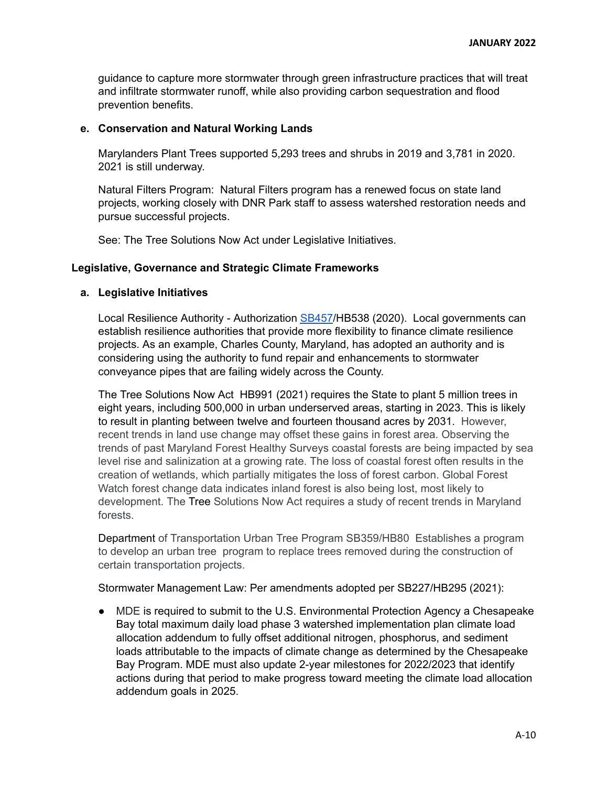guidance to capture more stormwater through green infrastructure practices that will treat and infiltrate stormwater runoff, while also providing carbon sequestration and flood prevention benefits.

#### **e. Conservation and Natural Working Lands**

Marylanders Plant Trees supported 5,293 trees and shrubs in 2019 and 3,781 in 2020. 2021 is still underway.

Natural Filters Program: Natural Filters program has a renewed focus on state land projects, working closely with DNR Park staff to assess watershed restoration needs and pursue successful projects.

See: The Tree Solutions Now Act under Legislative Initiatives.

#### **Legislative, Governance and Strategic Climate Frameworks**

#### **a. Legislative Initiatives**

Local Resilience Authority - Authorization [SB457](https://mgaleg.maryland.gov/mgawebsite/Legislation/Details/SB0457?ys=2020RS)/HB538 (2020). Local governments can establish resilience authorities that provide more flexibility to finance climate resilience projects. As an example, Charles County, Maryland, has adopted an authority and is considering using the authority to fund repair and enhancements to stormwater conveyance pipes that are failing widely across the County.

The Tree Solutions Now Act HB991 (2021) requires the State to plant 5 million trees in eight years, including 500,000 in urban underserved areas, starting in 2023. This is likely to result in planting between twelve and fourteen thousand acres by 2031. However, recent trends in land use change may offset these gains in forest area. Observing the trends of past Maryland Forest Healthy Surveys coastal forests are being impacted by sea level rise and salinization at a growing rate. The loss of coastal forest often results in the creation of wetlands, which partially mitigates the loss of forest carbon. Global Forest Watch forest change data indicates inland forest is also being lost, most likely to development. The Tree Solutions Now Act requires a study of recent trends in Maryland forests.

Department of Transportation Urban Tree Program SB359/HB80 Establishes a program to develop an urban tree program to replace trees removed during the construction of certain transportation projects.

#### Stormwater Management Law: Per amendments adopted per SB227/HB295 (2021):

● MDE is required to submit to the U.S. Environmental Protection Agency a Chesapeake Bay total maximum daily load phase 3 watershed implementation plan climate load allocation addendum to fully offset additional nitrogen, phosphorus, and sediment loads attributable to the impacts of climate change as determined by the Chesapeake Bay Program. MDE must also update 2-year milestones for 2022/2023 that identify actions during that period to make progress toward meeting the climate load allocation addendum goals in 2025.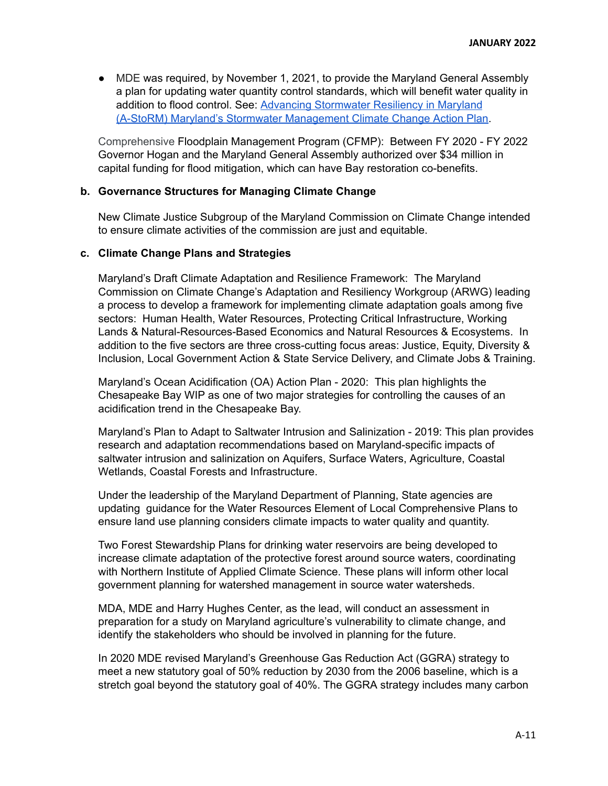● MDE was required, by November 1, 2021, to provide the Maryland General Assembly a plan for updating water quantity control standards, which will benefit water quality in addition to flood control. See: Advancing [Stormwater](https://mde.maryland.gov/Documents/A-StorRMreport.pdf) Resiliency in Maryland (A-StoRM) Maryland's Stormwater [Management](https://mde.maryland.gov/Documents/A-StorRMreport.pdf) Climate Change Action Plan.

Comprehensive Floodplain Management Program (CFMP): Between FY 2020 - FY 2022 Governor Hogan and the Maryland General Assembly authorized over \$34 million in capital funding for flood mitigation, which can have Bay restoration co-benefits.

#### **b. Governance Structures for Managing Climate Change**

New Climate Justice Subgroup of the Maryland Commission on Climate Change intended to ensure climate activities of the commission are just and equitable.

#### **c. Climate Change Plans and Strategies**

Maryland's Draft Climate Adaptation and Resilience Framework: The Maryland Commission on Climate Change's Adaptation and Resiliency Workgroup (ARWG) leading a process to develop a framework for implementing climate adaptation goals among five sectors: Human Health, Water Resources, Protecting Critical Infrastructure, Working Lands & Natural-Resources-Based Economics and Natural Resources & Ecosystems. In addition to the five sectors are three cross-cutting focus areas: Justice, Equity, Diversity & Inclusion, Local Government Action & State Service Delivery, and Climate Jobs & Training.

Maryland's Ocean Acidification (OA) Action Plan - 2020: This plan highlights the Chesapeake Bay WIP as one of two major strategies for controlling the causes of an acidification trend in the Chesapeake Bay.

Maryland's Plan to Adapt to Saltwater Intrusion and [Salinization](https://planning.maryland.gov/Documents/OurWork/envr-planning/2019-1212-Marylands-plan-to-adapt-to-saltwater-intrusion-and-salinization.pdf) - 2019: This plan provides research and adaptation recommendations based on Maryland-specific impacts of saltwater intrusion and salinization on Aquifers, Surface Waters, Agriculture, Coastal Wetlands, Coastal Forests and Infrastructure.

Under the leadership of the Maryland Department of Planning, State agencies are updating guidance for the Water Resources Element of Local Comprehensive Plans to ensure land use planning considers climate impacts to water quality and quantity.

Two Forest Stewardship Plans for drinking water reservoirs are being developed to increase climate adaptation of the protective forest around source waters, coordinating with Northern Institute of Applied Climate Science. These plans will inform other local government planning for watershed management in source water watersheds.

MDA, MDE and Harry Hughes Center, as the lead, will conduct an assessment in preparation for a study on Maryland agriculture's vulnerability to climate change, and identify the stakeholders who should be involved in planning for the future.

In 2020 MDE revised Maryland's Greenhouse Gas Reduction Act (GGRA) strategy to meet a new statutory goal of 50% reduction by 2030 from the 2006 baseline, which is a stretch goal beyond the statutory goal of 40%. The GGRA strategy includes many carbon